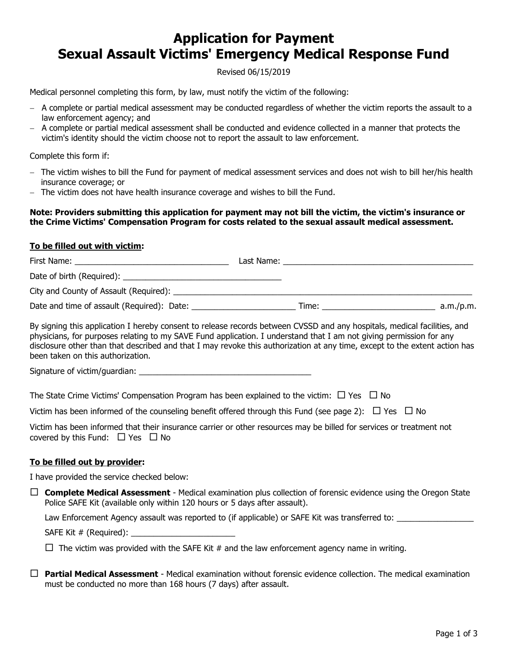# **Application for Payment Sexual Assault Victims' Emergency Medical Response Fund**

Revised 06/15/2019

Medical personnel completing this form, by law, must notify the victim of the following:

- A complete or partial medical assessment may be conducted regardless of whether the victim reports the assault to a law enforcement agency; and
- A complete or partial medical assessment shall be conducted and evidence collected in a manner that protects the victim's identity should the victim choose not to report the assault to law enforcement.

Complete this form if:

- The victim wishes to bill the Fund for payment of medical assessment services and does not wish to bill her/his health insurance coverage; or
- The victim does not have health insurance coverage and wishes to bill the Fund.

#### **Note: Providers submitting this application for payment may not bill the victim, the victim's insurance or the Crime Victims' Compensation Program for costs related to the sexual assault medical assessment.**

#### **To be filled out with victim:**

| First Name:                                | Last Name: |           |
|--------------------------------------------|------------|-----------|
|                                            |            |           |
|                                            |            |           |
| Date and time of assault (Required): Date: | Time:      | a.m./p.m. |

By signing this application I hereby consent to release records between CVSSD and any hospitals, medical facilities, and physicians, for purposes relating to my SAVE Fund application. I understand that I am not giving permission for any disclosure other than that described and that I may revoke this authorization at any time, except to the extent action has been taken on this authorization.

Signature of victim/guardian:

The State Crime Victims' Compensation Program has been explained to the victim:  $\Box$  Yes  $\Box$  No

Victim has been informed of the counseling benefit offered through this Fund (see page 2):  $\Box$  Yes  $\Box$  No

Victim has been informed that their insurance carrier or other resources may be billed for services or treatment not covered by this Fund:  $\Box$  Yes  $\Box$  No

### **To be filled out by provider:**

I have provided the service checked below:

 $\Box$  **Complete Medical Assessment** - Medical examination plus collection of forensic evidence using the Oregon State Police SAFE Kit (available only within 120 hours or 5 days after assault).

Law Enforcement Agency assault was reported to (if applicable) or SAFE Kit was transferred to:

SAFE Kit  $#$  (Required):  $\_\_$ 

 $\Box$  The victim was provided with the SAFE Kit # and the law enforcement agency name in writing.

 **Partial Medical Assessment** - Medical examination without forensic evidence collection. The medical examination must be conducted no more than 168 hours (7 days) after assault.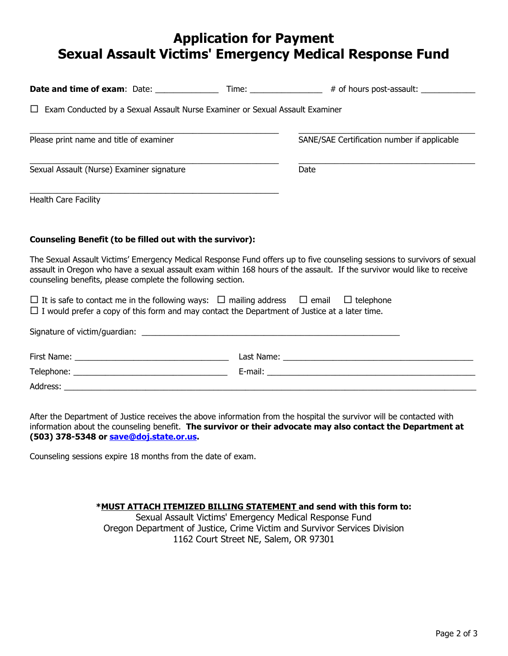# **Application for Payment Sexual Assault Victims' Emergency Medical Response Fund**

|                                                                                                                                                                                                                     | Date and time of exam: Date: __________________ Time: _________________# of hours post-assault: _____________                                                                                                                                       |
|---------------------------------------------------------------------------------------------------------------------------------------------------------------------------------------------------------------------|-----------------------------------------------------------------------------------------------------------------------------------------------------------------------------------------------------------------------------------------------------|
| Exam Conducted by a Sexual Assault Nurse Examiner or Sexual Assault Examiner<br>$\Box$                                                                                                                              |                                                                                                                                                                                                                                                     |
| Please print name and title of examiner                                                                                                                                                                             | SANE/SAE Certification number if applicable                                                                                                                                                                                                         |
| Sexual Assault (Nurse) Examiner signature                                                                                                                                                                           | Date                                                                                                                                                                                                                                                |
| <b>Health Care Facility</b>                                                                                                                                                                                         |                                                                                                                                                                                                                                                     |
| Counseling Benefit (to be filled out with the survivor):                                                                                                                                                            |                                                                                                                                                                                                                                                     |
| counseling benefits, please complete the following section.                                                                                                                                                         | The Sexual Assault Victims' Emergency Medical Response Fund offers up to five counseling sessions to survivors of sexual<br>assault in Oregon who have a sexual assault exam within 168 hours of the assault. If the survivor would like to receive |
| $\Box$ It is safe to contact me in the following ways: $\Box$ mailing address $\Box$ email $\Box$ telephone<br>$\Box$ I would prefer a copy of this form and may contact the Department of Justice at a later time. |                                                                                                                                                                                                                                                     |
|                                                                                                                                                                                                                     |                                                                                                                                                                                                                                                     |
|                                                                                                                                                                                                                     |                                                                                                                                                                                                                                                     |
|                                                                                                                                                                                                                     |                                                                                                                                                                                                                                                     |
| Address:                                                                                                                                                                                                            |                                                                                                                                                                                                                                                     |

After the Department of Justice receives the above information from the hospital the survivor will be contacted with information about the counseling benefit. **The survivor or their advocate may also contact the Department at (503) 378-5348 or save@doj.state.or.us.**

Counseling sessions expire 18 months from the date of exam.

### **\*MUST ATTACH ITEMIZED BILLING STATEMENT and send with this form to:**

Sexual Assault Victims' Emergency Medical Response Fund Oregon Department of Justice, Crime Victim and Survivor Services Division 1162 Court Street NE, Salem, OR 97301